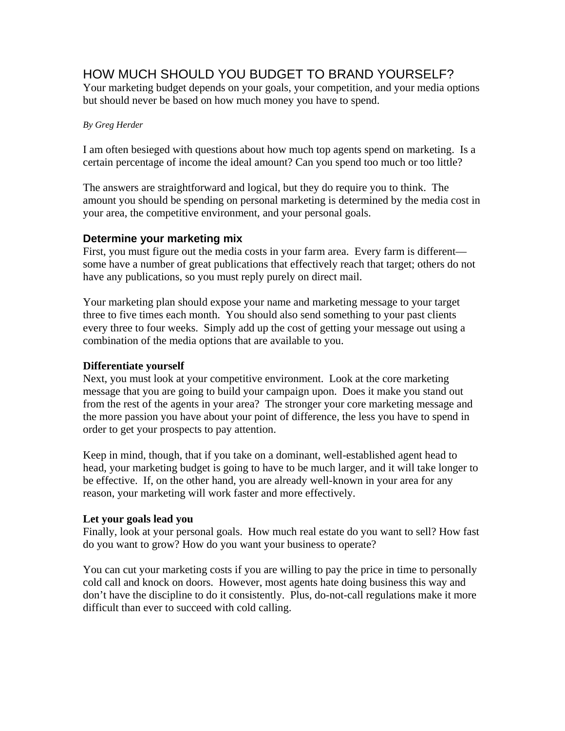# HOW MUCH SHOULD YOU BUDGET TO BRAND YOURSELF?

Your marketing budget depends on your goals, your competition, and your media options but should never be based on how much money you have to spend.

## *By Greg Herder*

I am often besieged with questions about how much top agents spend on marketing. Is a certain percentage of income the ideal amount? Can you spend too much or too little?

The answers are straightforward and logical, but they do require you to think. The amount you should be spending on personal marketing is determined by the media cost in your area, the competitive environment, and your personal goals.

# **Determine your marketing mix**

First, you must figure out the media costs in your farm area. Every farm is different some have a number of great publications that effectively reach that target; others do not have any publications, so you must reply purely on direct mail.

Your marketing plan should expose your name and marketing message to your target three to five times each month. You should also send something to your past clients every three to four weeks. Simply add up the cost of getting your message out using a combination of the media options that are available to you.

## **Differentiate yourself**

Next, you must look at your competitive environment. Look at the core marketing message that you are going to build your campaign upon. Does it make you stand out from the rest of the agents in your area? The stronger your core marketing message and the more passion you have about your point of difference, the less you have to spend in order to get your prospects to pay attention.

Keep in mind, though, that if you take on a dominant, well-established agent head to head, your marketing budget is going to have to be much larger, and it will take longer to be effective. If, on the other hand, you are already well-known in your area for any reason, your marketing will work faster and more effectively.

## **Let your goals lead you**

Finally, look at your personal goals. How much real estate do you want to sell? How fast do you want to grow? How do you want your business to operate?

You can cut your marketing costs if you are willing to pay the price in time to personally cold call and knock on doors. However, most agents hate doing business this way and don't have the discipline to do it consistently. Plus, do-not-call regulations make it more difficult than ever to succeed with cold calling.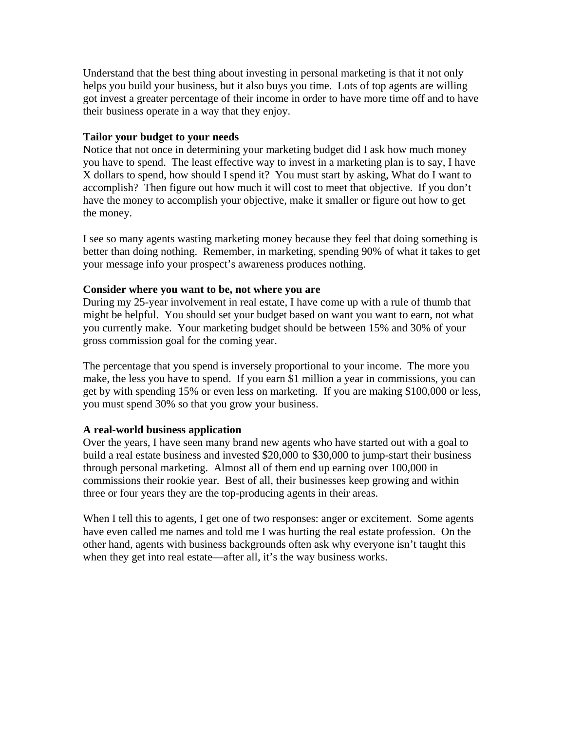Understand that the best thing about investing in personal marketing is that it not only helps you build your business, but it also buys you time. Lots of top agents are willing got invest a greater percentage of their income in order to have more time off and to have their business operate in a way that they enjoy.

## **Tailor your budget to your needs**

Notice that not once in determining your marketing budget did I ask how much money you have to spend. The least effective way to invest in a marketing plan is to say, I have X dollars to spend, how should I spend it? You must start by asking, What do I want to accomplish? Then figure out how much it will cost to meet that objective. If you don't have the money to accomplish your objective, make it smaller or figure out how to get the money.

I see so many agents wasting marketing money because they feel that doing something is better than doing nothing. Remember, in marketing, spending 90% of what it takes to get your message info your prospect's awareness produces nothing.

#### **Consider where you want to be, not where you are**

During my 25-year involvement in real estate, I have come up with a rule of thumb that might be helpful. You should set your budget based on want you want to earn, not what you currently make. Your marketing budget should be between 15% and 30% of your gross commission goal for the coming year.

The percentage that you spend is inversely proportional to your income. The more you make, the less you have to spend. If you earn \$1 million a year in commissions, you can get by with spending 15% or even less on marketing. If you are making \$100,000 or less, you must spend 30% so that you grow your business.

## **A real-world business application**

Over the years, I have seen many brand new agents who have started out with a goal to build a real estate business and invested \$20,000 to \$30,000 to jump-start their business through personal marketing. Almost all of them end up earning over 100,000 in commissions their rookie year. Best of all, their businesses keep growing and within three or four years they are the top-producing agents in their areas.

When I tell this to agents, I get one of two responses: anger or excitement. Some agents have even called me names and told me I was hurting the real estate profession. On the other hand, agents with business backgrounds often ask why everyone isn't taught this when they get into real estate—after all, it's the way business works.